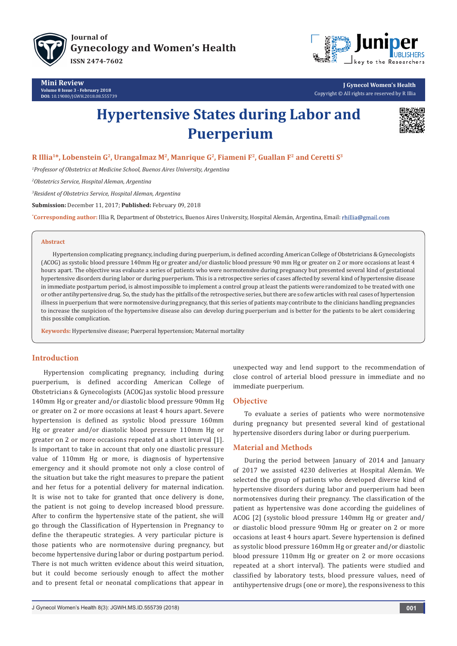

**[Journal of](http://juniperpublishers.com/jgwh/) [Gynecology and Women's Health](http://www.juniperpublishers.com/jgwh) ISSN 2474-7602**

**Mini Review Volume 8 Issue 3 - February 2018 DOI:** [10.19080/JGWH.2018.08.555739](http://dx.doi.org/10.19080/JGWH.2018.08.555739)



**J Gynecol Women's Health** Copyright © All rights are reserved by R Illia

# **Hypertensive States during Labor and Puerperium**



# **R Illia1\*, Lobenstein G2, UrangaImaz M2, Manrique G2, Fiameni F2, Guallan F2 and Ceretti S3**

*1 Professor of Obstetrics at Medicine School, Buenos Aires University, Argentina*

*2 Obstetrics Service, Hospital Aleman, Argentina*

*3 Resident of Obstetrics Service, Hospital Aleman, Argentina*

**Submission:** December 11, 2017; **Published:** February 09, 2018

**\* Corresponding author:** Illia R, Department of Obstetrics, Buenos Aires University, Hospital Alemán, Argentina, Email:

#### **Abstract**

Hypertension complicating pregnancy, including during puerperium, is defined according American College of Obstetricians & Gynecologists (ACOG) as systolic blood pressure 140mm Hg or greater and/or diastolic blood pressure 90 mm Hg or greater on 2 or more occasions at least 4 hours apart. The objective was evaluate a series of patients who were normotensive during pregnancy but presented several kind of gestational hypertensive disorders during labor or during puerperium. This is a retrospective series of cases affected by several kind of hypertensive disease in immediate postpartum period, is almost impossible to implement a control group at least the patients were randomized to be treated with one or other antihypertensive drug. So, the study has the pitfalls of the retrospective series, but there are so few articles with real cases of hypertension illness in puerperium that were normotensive during pregnancy, that this series of patients may contribute to the clinicians handling pregnancies to increase the suspicion of the hypertensive disease also can develop during puerperium and is better for the patients to be alert considering this possible complication.

**Keywords:** Hypertensive disease; Puerperal hypertension; Maternal mortality

## **Introduction**

Hypertension complicating pregnancy, including during puerperium, is defined according American College of Obstetricians & Gynecologists (ACOG)as systolic blood pressure 140mm Hg or greater and/or diastolic blood pressure 90mm Hg or greater on 2 or more occasions at least 4 hours apart. Severe hypertension is defined as systolic blood pressure 160mm Hg or greater and/or diastolic blood pressure 110mm Hg or greater on 2 or more occasions repeated at a short interval [1]. Is important to take in account that only one diastolic pressure value of 110mm Hg or more, is diagnosis of hypertensive emergency and it should promote not only a close control of the situation but take the right measures to prepare the patient and her fetus for a potential delivery for maternal indication. It is wise not to take for granted that once delivery is done, the patient is not going to develop increased blood pressure. After to confirm the hypertensive state of the patient, she will go through the Classification of Hypertension in Pregnancy to define the therapeutic strategies. A very particular picture is those patients who are normotensive during pregnancy, but become hypertensive during labor or during postpartum period. There is not much written evidence about this weird situation, but it could become seriously enough to affect the mother and to present fetal or neonatal complications that appear in

unexpected way and lend support to the recommendation of close control of arterial blood pressure in immediate and no immediate puerperium.

# **Objective**

To evaluate a series of patients who were normotensive during pregnancy but presented several kind of gestational hypertensive disorders during labor or during puerperium.

### **Material and Methods**

During the period between January of 2014 and January of 2017 we assisted 4230 deliveries at Hospital Alemán. We selected the group of patients who developed diverse kind of hypertensive disorders during labor and puerperium had been normotensives during their pregnancy. The classification of the patient as hypertensive was done according the guidelines of ACOG [2] (systolic blood pressure 140mm Hg or greater and/ or diastolic blood pressure 90mm Hg or greater on 2 or more occasions at least 4 hours apart. Severe hypertension is defined as systolic blood pressure 160mm Hg or greater and/or diastolic blood pressure 110mm Hg or greater on 2 or more occasions repeated at a short interval). The patients were studied and classified by laboratory tests, blood pressure values, need of antihypertensive drugs (one or more), the responsiveness to this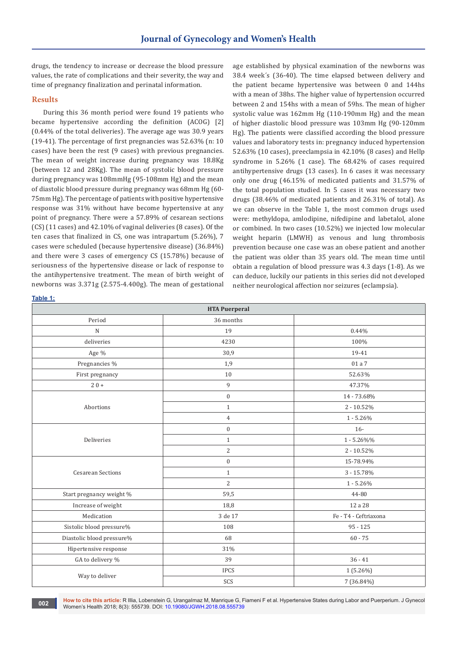drugs, the tendency to increase or decrease the blood pressure values, the rate of complications and their severity, the way and time of pregnancy finalization and perinatal information.

#### **Results**

During this 36 month period were found 19 patients who became hypertensive according the definition (ACOG) [2] (0.44% of the total deliveries). The average age was 30.9 years (19-41). The percentage of first pregnancies was 52.63% (n: 10 cases) have been the rest (9 cases) with previous pregnancies. The mean of weight increase during pregnancy was 18.8Kg (between 12 and 28Kg). The mean of systolic blood pressure during pregnancy was 108mmHg (95-108mm Hg) and the mean of diastolic blood pressure during pregnancy was 68mm Hg (60- 75mm Hg). The percentage of patients with positive hypertensive response was 31% without have become hypertensive at any point of pregnancy. There were a 57.89% of cesarean sections (CS) (11 cases) and 42.10% of vaginal deliveries (8 cases). Of the ten cases that finalized in CS, one was intrapartum (5.26%), 7 cases were scheduled (because hypertensive disease) (36.84%) and there were 3 cases of emergency CS (15.78%) because of seriousness of the hypertensive disease or lack of response to the antihypertensive treatment. The mean of birth weight of newborns was 3.371g (2.575-4.400g). The mean of gestational

age established by physical examination of the newborns was 38.4 week´s (36-40). The time elapsed between delivery and the patient became hypertensive was between 0 and 144hs with a mean of 38hs. The higher value of hypertension occurred between 2 and 154hs with a mean of 59hs. The mean of higher systolic value was 162mm Hg (110-190mm Hg) and the mean of higher diastolic blood pressure was 103mm Hg (90-120mm Hg). The patients were classified according the blood pressure values and laboratory tests in: pregnancy induced hypertension 52.63% (10 cases), preeclampsia in 42.10% (8 cases) and Hellp syndrome in 5.26% (1 case). The 68.42% of cases required antihypertensive drugs (13 cases). In 6 cases it was necessary only one drug (46.15% of medicated patients and 31.57% of the total population studied. In 5 cases it was necessary two drugs (38.46% of medicated patients and 26.31% of total). As we can observe in the Table 1, the most common drugs used were: methyldopa, amlodipine, nifedipine and labetalol, alone or combined. In two cases (10.52%) we injected low molecular weight heparin (LMWH) as venous and lung thrombosis prevention because one case was an obese patient and another the patient was older than 35 years old. The mean time until obtain a regulation of blood pressure was 4.3 days (1-8). As we can deduce, luckily our patients in this series did not developed neither neurological affection nor seizures (eclampsia).

| <b>HTA Puerperal</b>      |                  |                       |  |  |
|---------------------------|------------------|-----------------------|--|--|
| Period                    | 36 months        |                       |  |  |
| N                         | 19               | 0.44%                 |  |  |
| deliveries                | 4230             | 100%                  |  |  |
| Age %                     | 30,9             | 19-41                 |  |  |
| Pregnancies %             | 1,9              | 01 a 7                |  |  |
| First pregnancy           | 10               | 52.63%                |  |  |
| $20+$                     | 9                | 47.37%                |  |  |
| Abortions                 | $\boldsymbol{0}$ | 14 - 73.68%           |  |  |
|                           | $\mathbf{1}$     | $2 - 10.52%$          |  |  |
|                           | $\overline{4}$   | $1 - 5.26\%$          |  |  |
|                           | $\overline{0}$   | $16 -$                |  |  |
| Deliveries                | $\mathbf{1}$     | $1 - 5.26\%%$         |  |  |
|                           | 2                | $2 - 10.52%$          |  |  |
| <b>Cesarean Sections</b>  | $\boldsymbol{0}$ | 15-78.94%             |  |  |
|                           | $\mathbf{1}$     | $3 - 15.78\%$         |  |  |
|                           | $\overline{2}$   | $1 - 5.26\%$          |  |  |
| Start pregnancy weight %  | 59,5             | 44-80                 |  |  |
| Increase of weight        | 18,8             | 12 a 28               |  |  |
| Medication                | 3 de 17          | Fe - T4 - Ceftriaxona |  |  |
| Sistolic blood pressure%  | 108              | $95 - 125$            |  |  |
| Diastolic blood pressure% | 68               | $60 - 75$             |  |  |
| Hipertensive response     | 31%              |                       |  |  |
| GA to delivery %          | 39               | $36 - 41$             |  |  |
| Way to deliver            | <b>IPCS</b>      | $1(5.26\%)$           |  |  |
|                           | SCS              | 7 (36.84%)            |  |  |

**How to cite this article:** R Illia, Lobenstein G, UrangaImaz M, Manrique G, Fiameni F et al. Hypertensive States during Labor and Puerperium. J Gynecol **002 have to cite this article:** R illia, Loberistein G, Orangainiaz M, Mannique G, r<br>Women's Health 2018; 8(3): 555739. DOI: [10.19080/JGWH.2018.08.555739](http://dx.doi.org/10.19080/JGWH.2018.08.555739)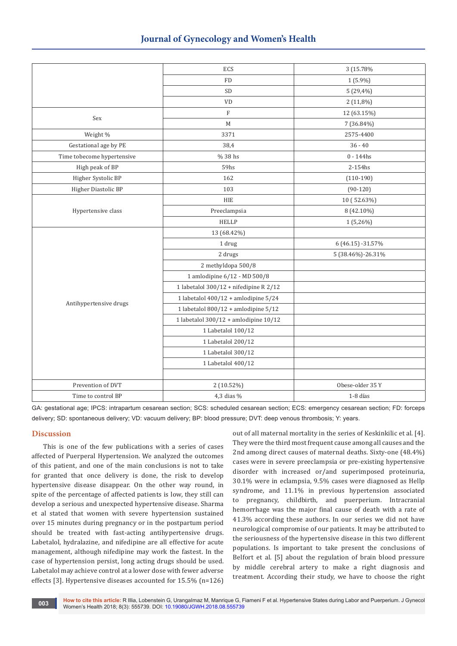|                            | ECS                                      | 3 (15.78%         |
|----------------------------|------------------------------------------|-------------------|
|                            | <b>FD</b>                                | $1(5.9\%)$        |
|                            | SD                                       | $5(29,4\%)$       |
|                            | <b>VD</b>                                | $2(11,8\%)$       |
| Sex                        | $\mathbf F$                              | 12 (63.15%)       |
|                            | M                                        | 7 (36.84%)        |
| Weight %                   | 3371                                     | 2575-4400         |
| Gestational age by PE      | 38,4                                     | $36 - 40$         |
| Time tobecome hypertensive | % 38 hs                                  | $0 - 144$ hs      |
| High peak of BP            | 59hs                                     | 2-154hs           |
| Higher Systolic BP         | 162                                      | $(110-190)$       |
| Higher Diastolic BP        | 103                                      | $(90-120)$        |
|                            | <b>HIE</b>                               | 10 (52.63%)       |
| Hypertensive class         | Preeclampsia                             | 8 (42.10%)        |
|                            | <b>HELLP</b>                             | $1(5,26\%)$       |
| Antihypertensive drugs     | 13 (68.42%)                              |                   |
|                            | 1 drug                                   | 6 (46.15) -31.57% |
|                            | 2 drugs                                  | 5 (38.46%)-26.31% |
|                            | 2 methyldopa 500/8                       |                   |
|                            | 1 amlodipine 6/12 - MD 500/8             |                   |
|                            | 1 labetalol 300/12 + nifedipine R 2/12   |                   |
|                            | 1 labetalol 400/12 + amlodipine $5/24$   |                   |
|                            | 1 labetalol $800/12$ + amlodipine $5/12$ |                   |
|                            | 1 labetalol 300/12 + amlodipine 10/12    |                   |
|                            | 1 Labetalol 100/12                       |                   |
|                            | 1 Labetalol 200/12                       |                   |
|                            | 1 Labetalol 300/12                       |                   |
|                            | 1 Labetalol 400/12                       |                   |
|                            |                                          |                   |
| Prevention of DVT          | 2 (10.52%)                               | Obese-older 35 Y  |
| Time to control BP         | 4,3 dias %                               | 1-8 días          |

GA: gestational age; IPCS: intrapartum cesarean section; SCS: scheduled cesarean section; ECS: emergency cesarean section; FD: forceps delivery; SD: spontaneous delivery; VD: vacuum delivery; BP: blood pressure; DVT: deep venous thrombosis; Y: years.

# **Discussion**

This is one of the few publications with a series of cases affected of Puerperal Hypertension. We analyzed the outcomes of this patient, and one of the main conclusions is not to take for granted that once delivery is done, the risk to develop hypertensive disease disappear. On the other way round, in spite of the percentage of affected patients is low, they still can develop a serious and unexpected hypertensive disease. Sharma et al stated that women with severe hypertension sustained over 15 minutes during pregnancy or in the postpartum period should be treated with fast-acting antihypertensive drugs. Labetalol, hydralazine, and nifedipine are all effective for acute management, although nifedipine may work the fastest. In the case of hypertension persist, long acting drugs should be used. Labetalol may achieve control at a lower dose with fewer adverse effects [3]. Hypertensive diseases accounted for 15.5% (n=126)

out of all maternal mortality in the series of Keskinkilic et al. [4]. They were the third most frequent cause among all causes and the 2nd among direct causes of maternal deaths. Sixty-one (48.4%) cases were in severe preeclampsia or pre-existing hypertensive disorder with increased or/and superimposed proteinuria, 30.1% were in eclampsia, 9.5% cases were diagnosed as Hellp syndrome, and 11.1% in previous hypertension associated to pregnancy, childbirth, and puerperium. Intracranial hemorrhage was the major final cause of death with a rate of 41.3% according these authors. In our series we did not have neurological compromise of our patients. It may be attributed to the seriousness of the hypertensive disease in this two different populations. Is important to take present the conclusions of Belfort et al. [5] about the regulation of brain blood pressure by middle cerebral artery to make a right diagnosis and treatment. According their study, we have to choose the right